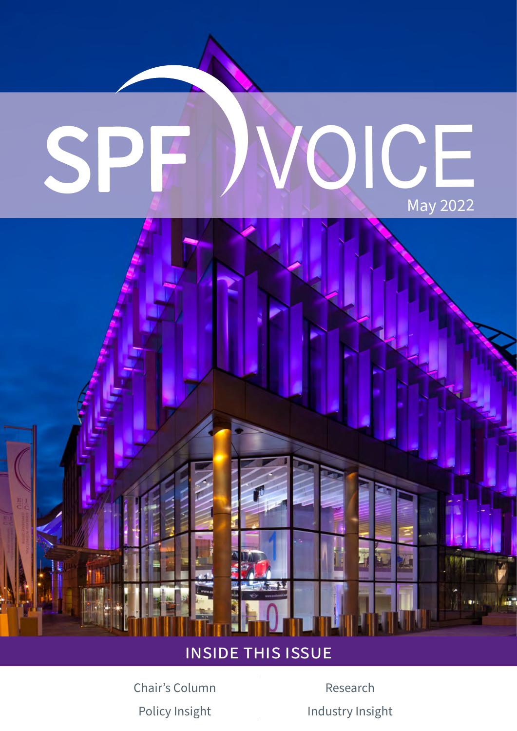

## inside this issue

[Chair's Column](#page-1-0) [Research](#page-3-0)

[Policy Insight](#page-2-0) **[Industry Insight](#page-4-0)**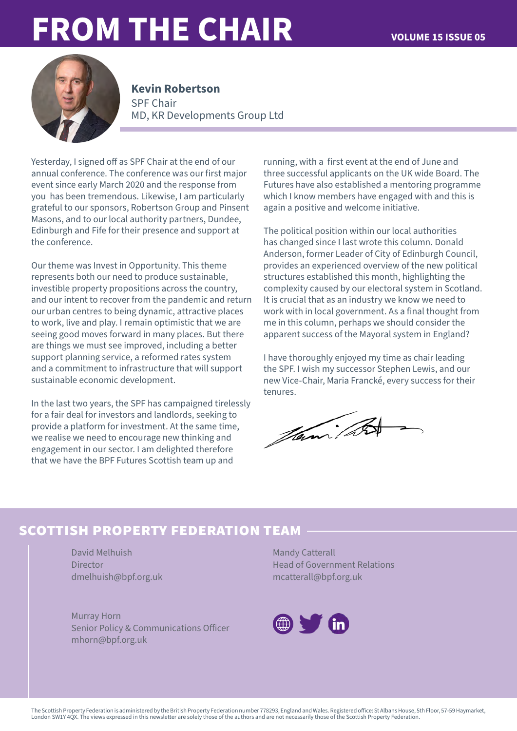# <span id="page-1-0"></span>**FROM THE CHAIR VOLUME 15 ISSUE 05**



### SPF Chair MD, KR Developments Group Ltd **Kevin Robertson**

Yesterday, I signed off as SPF Chair at the end of our annual conference. The conference was our first major event since early March 2020 and the response from you has been tremendous. Likewise, I am particularly grateful to our sponsors, Robertson Group and Pinsent Masons, and to our local authority partners, Dundee, Edinburgh and Fife for their presence and support at the conference.

Our theme was Invest in Opportunity. This theme represents both our need to produce sustainable, investible property propositions across the country, and our intent to recover from the pandemic and return our urban centres to being dynamic, attractive places to work, live and play. I remain optimistic that we are seeing good moves forward in many places. But there are things we must see improved, including a better support planning service, a reformed rates system and a commitment to infrastructure that will support sustainable economic development.

In the last two years, the SPF has campaigned tirelessly for a fair deal for investors and landlords, seeking to provide a platform for investment. At the same time, we realise we need to encourage new thinking and engagement in our sector. I am delighted therefore that we have the BPF Futures Scottish team up and

running, with a first event at the end of June and three successful applicants on the UK wide Board. The Futures have also established a mentoring programme which I know members have engaged with and this is again a positive and welcome initiative.

The political position within our local authorities has changed since I last wrote this column. Donald Anderson, former Leader of City of Edinburgh Council, provides an experienced overview of the new political structures established this month, highlighting the complexity caused by our electoral system in Scotland. It is crucial that as an industry we know we need to work with in local government. As a final thought from me in this column, perhaps we should consider the apparent success of the Mayoral system in England?

I have thoroughly enjoyed my time as chair leading the SPF. I wish my successor Stephen Lewis, and our new Vice-Chair, Maria Francké, every success for their tenures.

Jami / 2

## **scottish property federation team**

David Melhuish Director dmelhuish@bpf.org.uk

Murray Horn Senior Policy & Communications Officer [mhorn@bpf.org.uk](mailto:mhorn@bpf.org.uk)

Mandy Catterall Head of Government Relations [mcatterall@bpf.org.uk](mailto:mcatterall@bpf.org.uk)

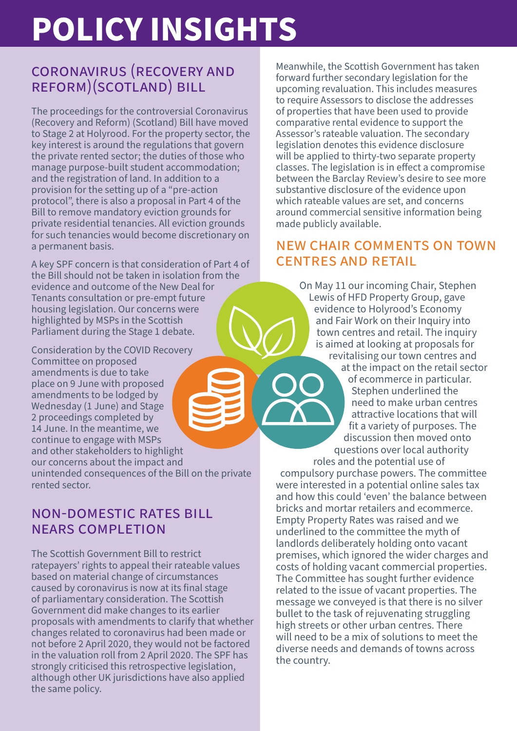# <span id="page-2-0"></span>**POLICY INSIGHTS**

## coronavirus (recovery and reform)(scotland) bill

The proceedings for the controversial Coronavirus (Recovery and Reform) (Scotland) Bill have moved to Stage 2 at Holyrood. For the property sector, the key interest is around the regulations that govern the private rented sector; the duties of those who manage purpose-built student accommodation; and the registration of land. In addition to a provision for the setting up of a "pre-action protocol", there is also a proposal in Part 4 of the Bill to remove mandatory eviction grounds for private residential tenancies. All eviction grounds for such tenancies would become discretionary on a permanent basis. 

A key SPF concern is that consideration of Part 4 of the Bill should not be taken in isolation from the evidence and outcome of the New Deal for Tenants consultation or pre-empt future housing legislation. Our concerns were highlighted by MSPs in the Scottish Parliament during the Stage 1 debate.

Consideration by the COVID Recovery Committee on proposed amendments is due to take place on 9 June with proposed amendments to be lodged by Wednesday (1 June) and Stage 2 proceedings completed by 14 June. In the meantime, we continue to engage with MSPs and other stakeholders to highlight our concerns about the impact and unintended consequences of the Bill on the private rented sector.

## non-domestic rates bill nears completion

The Scottish Government Bill to restrict ratepayers' rights to appeal their rateable values based on material change of circumstances caused by coronavirus is now at its final stage of parliamentary consideration. The Scottish Government did make changes to its earlier proposals with amendments to clarify that whether changes related to coronavirus had been made or not before 2 April 2020, they would not be factored in the valuation roll from 2 April 2020. The SPF has strongly criticised this retrospective legislation, although other UK jurisdictions have also applied the same policy.

Meanwhile, the Scottish Government has taken forward further secondary legislation for the upcoming revaluation. This includes measures to require Assessors to disclose the addresses of properties that have been used to provide comparative rental evidence to support the Assessor's rateable valuation. The secondary legislation denotes this evidence disclosure will be applied to thirty-two separate property classes. The legislation is in effect a compromise between the Barclay Review's desire to see more substantive disclosure of the evidence upon which rateable values are set, and concerns around commercial sensitive information being made publicly available.

## new chair comments on town centres and retail

On May 11 our incoming Chair, Stephen Lewis of HFD Property Group, gave evidence to Holyrood's Economy and Fair Work on their Inquiry into town centres and retail. The inquiry is aimed at looking at proposals for revitalising our town centres and at the impact on the retail sector of ecommerce in particular. Stephen underlined the need to make urban centres attractive locations that will fit a variety of purposes. The discussion then moved onto questions over local authority roles and the potential use of

compulsory purchase powers. The committee were interested in a potential online sales tax and how this could 'even' the balance between bricks and mortar retailers and ecommerce. Empty Property Rates was raised and we underlined to the committee the myth of landlords deliberately holding onto vacant premises, which ignored the wider charges and costs of holding vacant commercial properties. The Committee has sought further evidence related to the issue of vacant properties. The message we conveyed is that there is no silver bullet to the task of rejuvenating struggling high streets or other urban centres. There will need to be a mix of solutions to meet the diverse needs and demands of towns across the country.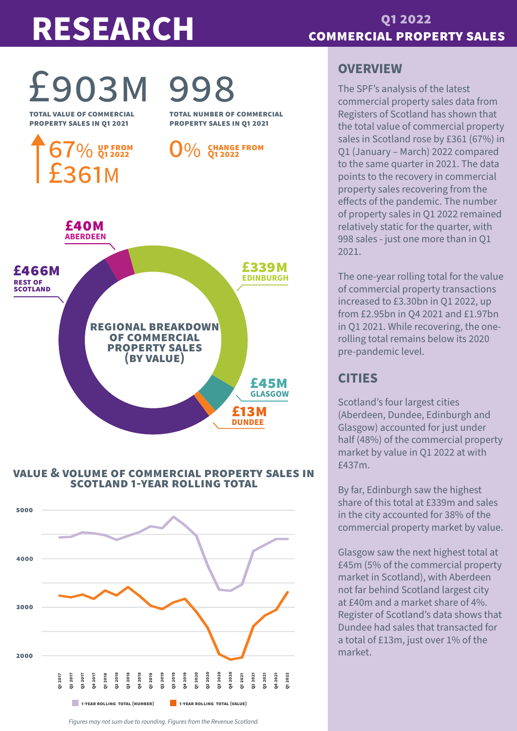# <span id="page-3-0"></span>**RESEARCH**

## **commercial property sales q1 2022**

# £903m 998

**total value of commercial property sales in q1 2021**

**total number of commercial property sales in q1 2021**



### **value & volume of commercial property sales in scotland 1-year rolling total**



### *Figures may not sum due to rounding. Figures from the Revenue Scotland.*

## **OVERVIEW**

The SPF's analysis of the latest commercial property sales data from Registers of Scotland has shown that the total value of commercial property sales in Scotland rose by £361 (67%) in Q1 (January – March) 2022 compared to the same quarter in 2021. The data points to the recovery in commercial property sales recovering from the effects of the pandemic. The number of property sales in Q1 2022 remained relatively static for the quarter, with 998 sales - just one more than in Q1 2021.

The one-year rolling total for the value of commercial property transactions increased to £3.30bn in Q1 2022, up from £2.95bn in Q4 2021 and £1.97bn in Q1 2021. While recovering, the onerolling total remains below its 2020 pre-pandemic level.

## **CITIES**

Scotland's four largest cities (Aberdeen, Dundee, Edinburgh and Glasgow) accounted for just under half (48%) of the commercial property market by value in Q1 2022 at with £437m.

By far, Edinburgh saw the highest share of this total at £339m and sales in the city accounted for 38% of the commercial property market by value.

Glasgow saw the next highest total at £45m (5% of the commercial property market in Scotland), with Aberdeen not far behind Scotland largest city at £40m and a market share of 4%. Register of Scotland's data shows that Dundee had sales that transacted for a total of £13m, just over 1% of the market.